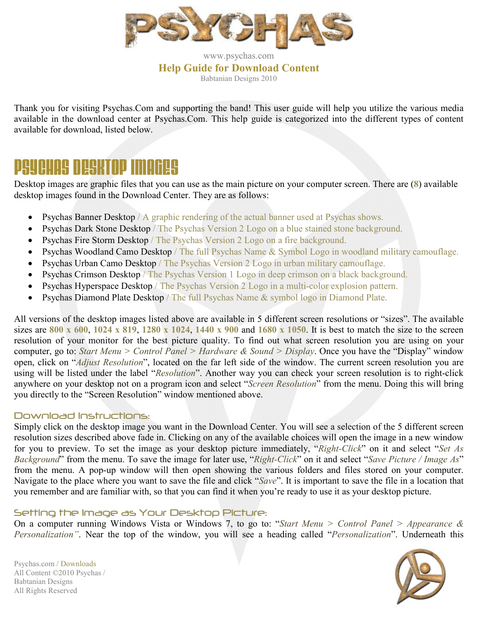

www.psychas.com **Help Guide for Download Content**  Babtanian Designs 2010

Thank you for visiting Psychas.Com and supporting the band! This user guide will help you utilize the various media available in the download center at Psychas.Com. This help guide is categorized into the different types of content available for download, listed below.

# PSYCHAS DESKTOP IMAGES

Desktop images are graphic files that you can use as the main picture on your computer screen. There are (**8**) available desktop images found in the Download Center. They are as follows:

- Psychas Banner Desktop / A graphic rendering of the actual banner used at Psychas shows.
- Psychas Dark Stone Desktop / The Psychas Version 2 Logo on a blue stained stone background.
- Psychas Fire Storm Desktop / The Psychas Version 2 Logo on a fire background.
- Psychas Woodland Camo Desktop / The full Psychas Name & Symbol Logo in woodland military camouflage.
- Psychas Urban Camo Desktop / The Psychas Version 2 Logo in urban military camouflage.
- Psychas Crimson Desktop / The Psychas Version 1 Logo in deep crimson on a black background.
- Psychas Hyperspace Desktop / The Psychas Version 2 Logo in a multi-color explosion pattern.
- Psychas Diamond Plate Desktop / The full Psychas Name & symbol logo in Diamond Plate.

All versions of the desktop images listed above are available in 5 different screen resolutions or "sizes". The available sizes are **800 x 600**, **1024 x 819**, **1280 x 1024**, **1440 x 900** and **1680 x 1050**. It is best to match the size to the screen resolution of your monitor for the best picture quality. To find out what screen resolution you are using on your computer, go to: *Start Menu > Control Panel > Hardware & Sound > Display*. Once you have the "Display" window open, click on "*Adjust Resolution*", located on the far left side of the window. The current screen resolution you are using will be listed under the label "*Resolution*". Another way you can check your screen resolution is to right-click anywhere on your desktop not on a program icon and select "*Screen Resolution*" from the menu. Doing this will bring you directly to the "Screen Resolution" window mentioned above.

### Download Instructions:

Simply click on the desktop image you want in the Download Center. You will see a selection of the 5 different screen resolution sizes described above fade in. Clicking on any of the available choices will open the image in a new window for you to preview. To set the image as your desktop picture immediately, "*Right-Click*" on it and select "*Set As Background*" from the menu. To save the image for later use, "*Right-Click*" on it and select "*Save Picture / Image As*" from the menu. A pop-up window will then open showing the various folders and files stored on your computer. Navigate to the place where you want to save the file and click "*Save*". It is important to save the file in a location that you remember and are familiar with, so that you can find it when you're ready to use it as your desktop picture.

### Setting the Image as Your Desktop Picture:

On a computer running Windows Vista or Windows 7, to go to: "*Start Menu > Control Panel > Appearance & Personalization"*. Near the top of the window, you will see a heading called "*Personalization*". Underneath this

Psychas.com / Downloads All Content ©2010 Psychas / Babtanian Designs All Rights Reserved

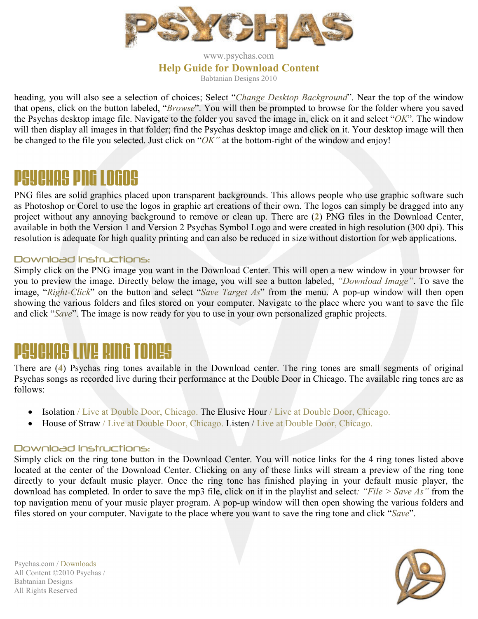

www.psychas.com **Help Guide for Download Content**  Babtanian Designs 2010

heading, you will also see a selection of choices; Select "*Change Desktop Background*". Near the top of the window that opens, click on the button labeled, "*Browse*". You will then be prompted to browse for the folder where you saved the Psychas desktop image file. Navigate to the folder you saved the image in, click on it and select "*OK*". The window will then display all images in that folder; find the Psychas desktop image and click on it. Your desktop image will then be changed to the file you selected. Just click on "*OK"* at the bottom-right of the window and enjoy!

# PSYCHASPNGLOGOS

PNG files are solid graphics placed upon transparent backgrounds. This allows people who use graphic software such as Photoshop or Corel to use the logos in graphic art creations of their own. The logos can simply be dragged into any project without any annoying background to remove or clean up. There are (**2**) PNG files in the Download Center, available in both the Version 1 and Version 2 Psychas Symbol Logo and were created in high resolution (300 dpi). This resolution is adequate for high quality printing and can also be reduced in size without distortion for web applications.

#### Download Instructions:

Simply click on the PNG image you want in the Download Center. This will open a new window in your browser for you to preview the image. Directly below the image, you will see a button labeled, *"Download Image"*. To save the image, "*Right-Click*" on the button and select "*Save Target As*" from the menu. A pop-up window will then open showing the various folders and files stored on your computer. Navigate to the place where you want to save the file and click "*Save*". The image is now ready for you to use in your own personalized graphic projects.

### PSYCHASLIVERINGTONES

There are (**4**) Psychas ring tones available in the Download center. The ring tones are small segments of original Psychas songs as recorded live during their performance at the Double Door in Chicago. The available ring tones are as follows:

- Isolation / Live at Double Door, Chicago. The Elusive Hour / Live at Double Door, Chicago.
- House of Straw / Live at Double Door, Chicago. Listen / Live at Double Door, Chicago.

### Download Instructions:

Simply click on the ring tone button in the Download Center. You will notice links for the 4 ring tones listed above located at the center of the Download Center. Clicking on any of these links will stream a preview of the ring tone directly to your default music player. Once the ring tone has finished playing in your default music player, the download has completed. In order to save the mp3 file, click on it in the playlist and select*: "File > Save As"* from the top navigation menu of your music player program. A pop-up window will then open showing the various folders and files stored on your computer. Navigate to the place where you want to save the ring tone and click "*Save*".

Psychas.com / Downloads All Content ©2010 Psychas / Babtanian Designs All Rights Reserved